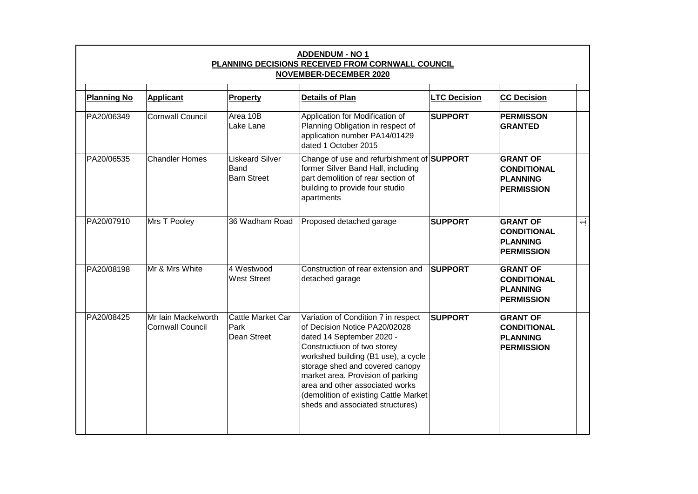| <b>Planning No</b> | <b>Applicant</b>                               | <b>Property</b>                                      | <b>Details of Plan</b>                                                                                                                                                                                                                                                                                                                                           | <b>LTC Decision</b> | <b>CC Decision</b>                                                            |        |
|--------------------|------------------------------------------------|------------------------------------------------------|------------------------------------------------------------------------------------------------------------------------------------------------------------------------------------------------------------------------------------------------------------------------------------------------------------------------------------------------------------------|---------------------|-------------------------------------------------------------------------------|--------|
| PA20/06349         | <b>Cornwall Council</b>                        | Area 10B<br>Lake Lane                                | Application for Modification of<br>Planning Obligation in respect of<br>application number PA14/01429<br>dated 1 October 2015                                                                                                                                                                                                                                    | <b>SUPPORT</b>      | <b>PERMISSON</b><br><b>GRANTED</b>                                            |        |
| PA20/06535         | <b>Chandler Homes</b>                          | <b>Liskeard Silver</b><br>Band<br><b>Barn Street</b> | Change of use and refurbishment of <b>SUPPORT</b><br>former Silver Band Hall, including<br>part demolition of rear section of<br>building to provide four studio<br>apartments                                                                                                                                                                                   |                     | <b>GRANT OF</b><br><b>CONDITIONAL</b><br><b>PLANNING</b><br><b>PERMISSION</b> |        |
| PA20/07910         | Mrs T Pooley                                   | 36 Wadham Road                                       | Proposed detached garage                                                                                                                                                                                                                                                                                                                                         | <b>SUPPORT</b>      | <b>GRANT OF</b><br><b>CONDITIONAL</b><br><b>PLANNING</b><br><b>PERMISSION</b> | $\div$ |
| PA20/08198         | Mr & Mrs White                                 | 4 Westwood<br><b>West Street</b>                     | Construction of rear extension and<br>detached garage                                                                                                                                                                                                                                                                                                            | <b>SUPPORT</b>      | <b>GRANT OF</b><br><b>CONDITIONAL</b><br>PLANNING<br><b>PERMISSION</b>        |        |
| PA20/08425         | Mr Iain Mackelworth<br><b>Cornwall Council</b> | Cattle Market Car<br>Park<br>Dean Street             | Variation of Condition 7 in respect<br>of Decision Notice PA20/02028<br>dated 14 September 2020 -<br>Constructiuon of two storey<br>workshed building (B1 use), a cycle<br>storage shed and covered canopy<br>market area. Provision of parking<br>area and other associated works<br>(demolition of existing Cattle Market)<br>sheds and associated structures) | <b>SUPPORT</b>      | <b>GRANT OF</b><br><b>CONDITIONAL</b><br>PLANNING<br><b>PERMISSION</b>        |        |